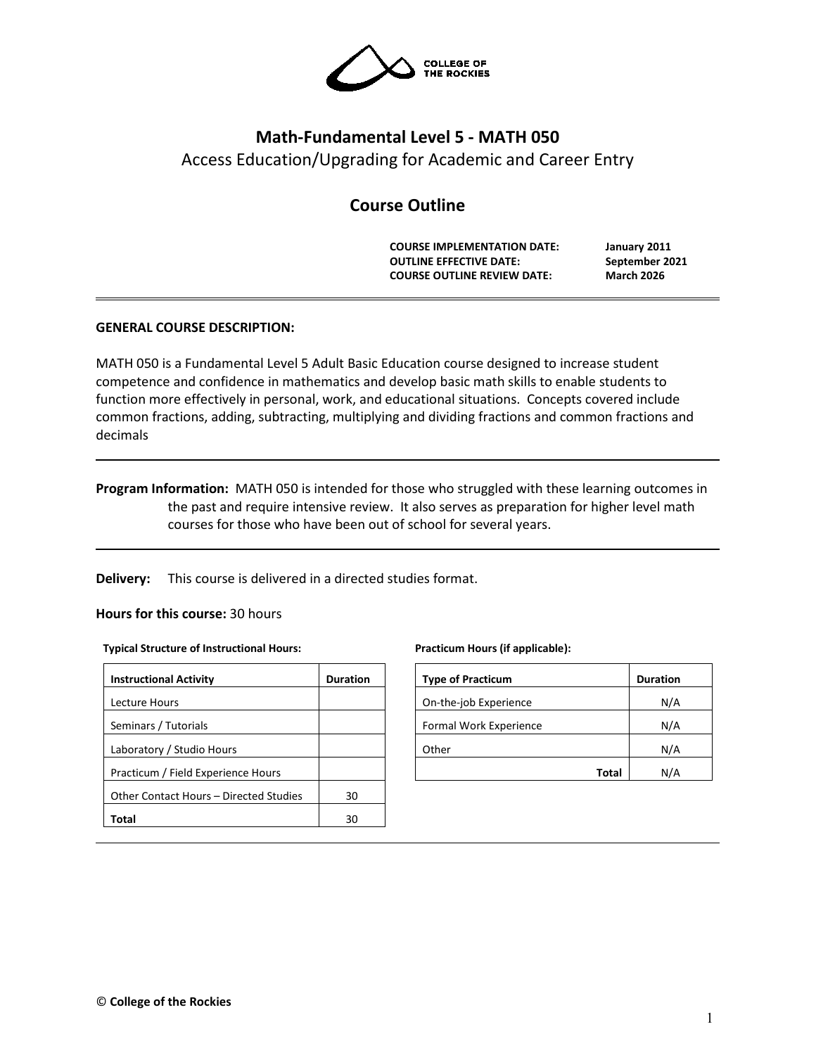

# **Math-Fundamental Level 5 - MATH 050**

Access Education/Upgrading for Academic and Career Entry

# **Course Outline**

**COURSE IMPLEMENTATION DATE: January 2011 OUTLINE EFFECTIVE DATE: September 2021 COURSE OUTLINE REVIEW DATE: March 2026**

# **GENERAL COURSE DESCRIPTION:**

MATH 050 is a Fundamental Level 5 Adult Basic Education course designed to increase student competence and confidence in mathematics and develop basic math skills to enable students to function more effectively in personal, work, and educational situations. Concepts covered include common fractions, adding, subtracting, multiplying and dividing fractions and common fractions and decimals

**Program Information:** MATH 050 is intended for those who struggled with these learning outcomes in the past and require intensive review. It also serves as preparation for higher level math courses for those who have been out of school for several years.

**Delivery:** This course is delivered in a directed studies format.

### **Hours for this course:** 30 hours

#### **Typical Structure of Instructional Hours:**

| <b>Instructional Activity</b>          | <b>Duration</b> |
|----------------------------------------|-----------------|
| Lecture Hours                          |                 |
| Seminars / Tutorials                   |                 |
| Laboratory / Studio Hours              |                 |
| Practicum / Field Experience Hours     |                 |
| Other Contact Hours – Directed Studies | 30              |
| Total                                  | 30              |

#### **Practicum Hours (if applicable):**

| <b>Type of Practicum</b> | <b>Duration</b> |
|--------------------------|-----------------|
| On-the-job Experience    | N/A             |
| Formal Work Experience   | N/A             |
| Other                    | N/A             |
| Total                    | N/A             |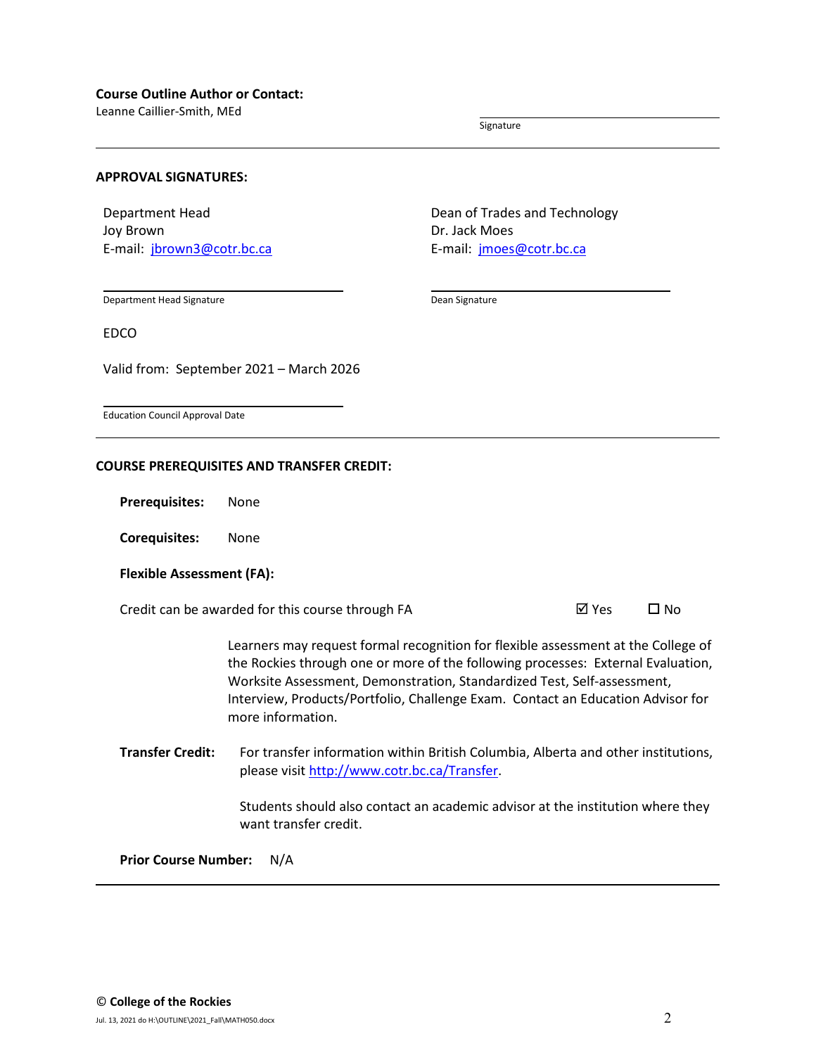Leanne Caillier-Smith, MEd

Signature

#### **APPROVAL SIGNATURES:**

Department Head Joy Brown E-mail: [jbrown3@cotr.bc.ca](mailto:jbrown3@cotr.bc.ca) Dean of Trades and Technology Dr. Jack Moes E-mail: *[jmoes@cotr.bc.ca](mailto:jmoes@cotr.bc.ca)* 

Department Head Signature

Dean Signature

EDCO

Valid from: September 2021 – March 2026

Education Council Approval Date

#### **COURSE PREREQUISITES AND TRANSFER CREDIT:**

**Prerequisites:** None

**Corequisites:** None

#### **Flexible Assessment (FA):**

Credit can be awarded for this course through FA  $\boxtimes$  Yes  $\Box$  No

Learners may request formal recognition for flexible assessment at the College of the Rockies through one or more of the following processes: External Evaluation, Worksite Assessment, Demonstration, Standardized Test, Self-assessment, Interview, Products/Portfolio, Challenge Exam. Contact an Education Advisor for more information.

**Transfer Credit:** For transfer information within British Columbia, Alberta and other institutions, please visit [http://www.cotr.bc.ca/Transfer.](http://www.cotr.bc.ca/Transfer)

> Students should also contact an academic advisor at the institution where they want transfer credit.

**Prior Course Number:** N/A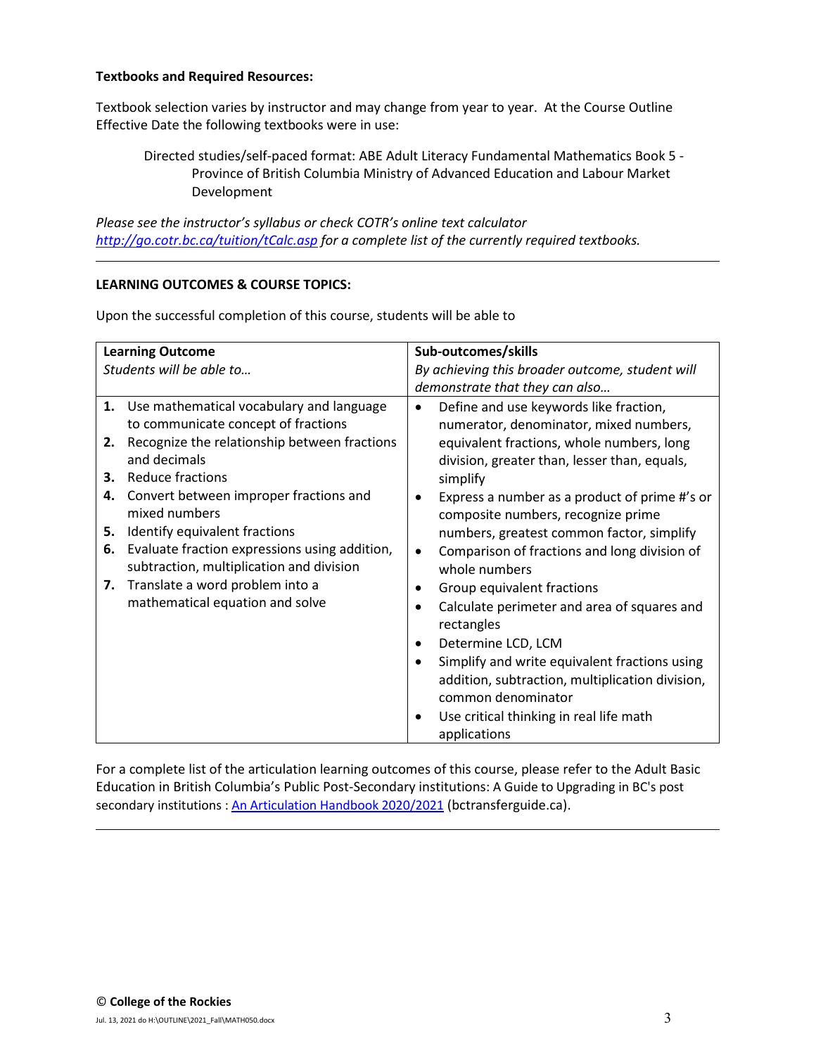#### **Textbooks and Required Resources:**

Textbook selection varies by instructor and may change from year to year. At the Course Outline Effective Date the following textbooks were in use:

Directed studies/self-paced format: ABE Adult Literacy Fundamental Mathematics Book 5 - Province of British Columbia Ministry of Advanced Education and Labour Market Development

*Please see the instructor's syllabus or check COTR's online text calculator <http://go.cotr.bc.ca/tuition/tCalc.asp> for a complete list of the currently required textbooks.*

## **LEARNING OUTCOMES & COURSE TOPICS:**

Upon the successful completion of this course, students will be able to

| <b>Learning Outcome</b> |                                               | Sub-outcomes/skills                             |                                                 |
|-------------------------|-----------------------------------------------|-------------------------------------------------|-------------------------------------------------|
|                         | Students will be able to                      | By achieving this broader outcome, student will |                                                 |
|                         |                                               |                                                 | demonstrate that they can also                  |
|                         | 1. Use mathematical vocabulary and language   |                                                 | Define and use keywords like fraction,          |
|                         | to communicate concept of fractions           |                                                 | numerator, denominator, mixed numbers,          |
| 2.                      | Recognize the relationship between fractions  |                                                 | equivalent fractions, whole numbers, long       |
|                         | and decimals                                  |                                                 | division, greater than, lesser than, equals,    |
| 3.                      | Reduce fractions                              |                                                 | simplify                                        |
| 4.                      | Convert between improper fractions and        |                                                 | Express a number as a product of prime #'s or   |
|                         | mixed numbers                                 |                                                 | composite numbers, recognize prime              |
| 5.                      | Identify equivalent fractions                 |                                                 | numbers, greatest common factor, simplify       |
| 6.                      | Evaluate fraction expressions using addition, |                                                 | Comparison of fractions and long division of    |
|                         | subtraction, multiplication and division      |                                                 | whole numbers                                   |
| 7.                      | Translate a word problem into a               |                                                 | Group equivalent fractions                      |
|                         | mathematical equation and solve               |                                                 | Calculate perimeter and area of squares and     |
|                         |                                               |                                                 | rectangles                                      |
|                         |                                               |                                                 | Determine LCD, LCM                              |
|                         |                                               |                                                 | Simplify and write equivalent fractions using   |
|                         |                                               |                                                 | addition, subtraction, multiplication division, |
|                         |                                               |                                                 | common denominator                              |
|                         |                                               | $\bullet$                                       | Use critical thinking in real life math         |
|                         |                                               |                                                 | applications                                    |

For a complete list of the articulation learning outcomes of this course, please refer to the Adult Basic Education in British Columbia's Public Post-Secondary institutions: A Guide to Upgrading in BC's post secondary institutions : [An Articulation Handbook 2020/2021](https://www.bctransferguide.ca/docs/ABE2020.pdf) (bctransferguide.ca).